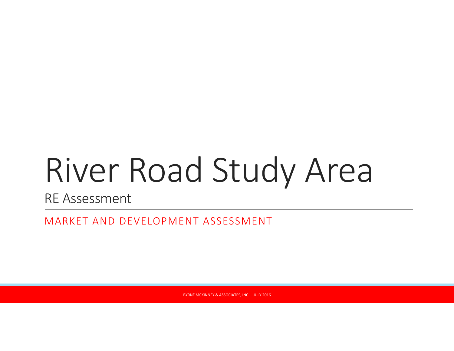# River Road Study Area

RE Assessment

MARKET AND DEVELOPMENT ASSESSMENT

BYRNE MCKINNEY & ASSOCIATES, INC. – JULY 2016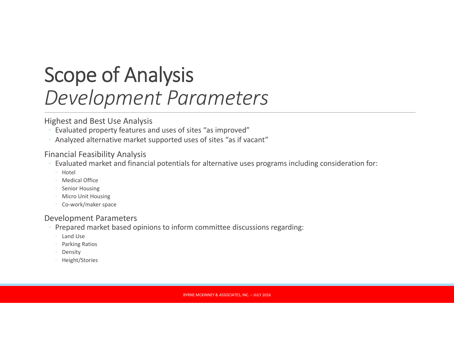### Scope of Analysis *Development Parameters*

#### Highest and Best Use Analysis

- $\degree$  Evaluated property features and uses of sites "as improved"
- Analyzed alternative market supported uses of sites "as if vacant"

#### Financial Feasibility Analysis

- $\degree$  Evaluated market and financial potentials for alternative uses programs including consideration for:
	- Hotel
	- Medical Office
	- Senior Housing
	- Micro Unit Housing
	- Co‐work/maker space

#### Development Parameters

- Prepared market based opinions to inform committee discussions regarding:
	- Land Use
	- Parking Ratios
	- Density
	- Height/Stories

BYRNE MCKINNEY & ASSOCIATES, INC. – JULY 2016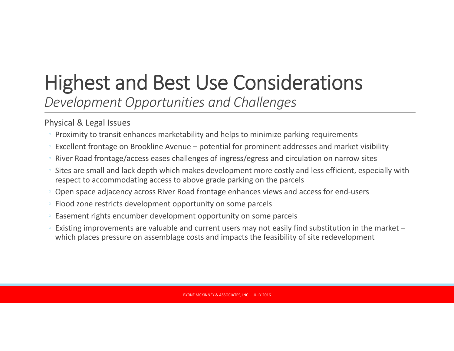*Development Opportunities and Challenges*

Physical & Legal Issues

- Proximity to transit enhances marketability and helps to minimize parking requirements
- Excellent frontage on Brookline Avenue potential for prominent addresses and market visibility
- River Road frontage/access eases challenges of ingress/egress and circulation on narrow sites
- $\, \circ \,$  Sites are small and lack depth which makes development more costly and less efficient, especially with respect to accommodating access to above grade parking on the parcels
- Open space adjacency across River Road frontage enhances views and access for end‐users
- Flood zone restricts development opportunity on some parcels
- Easement rights encumber development opportunity on some parcels
- Existing improvements are valuable and current users may not easily find substitution in the market which places pressure on assemblage costs and impacts the feasibility of site redevelopment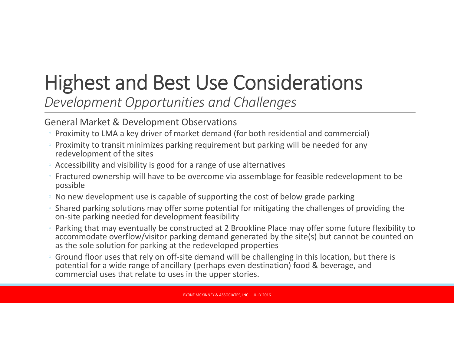*Development Opportunities and Challenges*

#### General Market & Development Observations

- Proximity to LMA <sup>a</sup> key driver of market demand (for both residential and commercial)
- Proximity to transit minimizes parking requirement but parking will be needed for any redevelopment of the sites
- Accessibility and visibility is good for <sup>a</sup> range of use alternatives
- Fractured ownership will have to be overcome via assemblage for feasible redevelopment to be possible
- No new development use is capable of supporting the cost of below grade parking
- $\,\circ\,$  Shared parking solutions may offer some potential for mitigating the challenges of providing the on‐site parking needed for development feasibility
- Parking that may eventually be constructed at 2 Brookline Place may offer some future flexibility to accommodate overflow/visitor parking demand generated by the site(s) but cannot be counted on as the sole solution for parking at the redeveloped properties
- Ground floor uses that rely on off‐site demand will be challenging in this location, but there is potential for <sup>a</sup> wide range of ancillary (perhaps even destination) food & beverage, and commercial uses that relate to uses in the upper stories.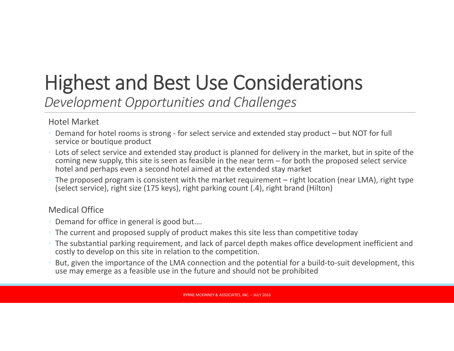*Development Opportunities and Challenges*

Hotel Market

- Demand for hotel rooms is strong ‐ for select service and extended stay product but NOT for full service or boutique product
- Lots of select service and extended stay product is planned for delivery in the market, but in spite of the coming new supply, this site is seen as feasible in the near term – for both the proposed select service hotel and perhaps even <sup>a</sup> second hotel aimed at the extended stay market
- The proposed program is consistent with the market requirement right location (near LMA), right type (select service), right size (175 keys), right parking count (.4), right brand (Hilton)

#### Medical Office

- Demand for office in general is good but….
- The current and proposed supply of product makes this site less than competitive today
- The substantial parking requirement, and lack of parcel depth makes office development inefficient and costly to develop on this site in relation to the competition.
- But, given the importance of the LMA connection and the potential for <sup>a</sup> build‐to‐suit development, this use may emerge as <sup>a</sup> feasible use in the future and should not be prohibited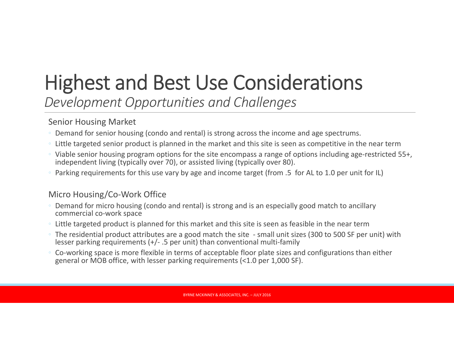*Development Opportunities and Challenges*

#### Senior Housing Market

- Demand for senior housing (condo and rental) is strong across the income and age spectrums.
- Little targeted senior product is planned in the market and this site is seen as competitive in the near term
- Viable senior housing program options for the site encompass <sup>a</sup> range of options including age‐restricted 55+, independent living (typically over 70), or assisted living (typically over 80).
- Parking requirements for this use vary by age and income target (from .5 for AL to 1.0 per unit for IL)

#### Micro Housing/Co‐Work Office

- Demand for micro housing (condo and rental) is strong and is an especially good match to ancillary commercial co‐work space
- Little targeted product is planned for this market and this site is seen as feasible in the near term
- The residential product attributes are <sup>a</sup> good match the site ‐ small unit sizes (300 to 500 SF per unit) with lesser parking requirements (+/‐ .5 per unit) than conventional multi‐family
- Co‐working space is more flexible in terms of acceptable floor plate sizes and configurations than either general or MOB office, with lesser parking requirements (<1.0 per 1,000 SF).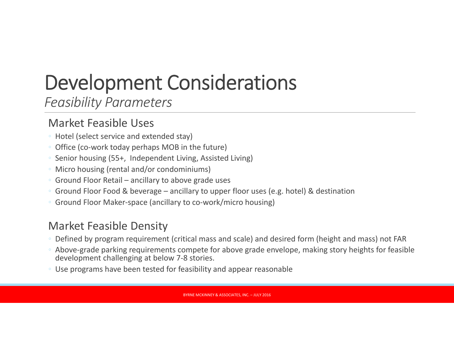*Feasibility Parameters*

### Market Feasible Uses

- Hotel (select service and extended stay)
- Office (co‐work today perhaps MOB in the future)
- Senior housing (55+, Independent Living, Assisted Living)
- Micro housing (rental and/or condominiums)
- Ground Floor Retail ancillary to above grade uses
- Ground Floor Food & beverage ancillary to upper floor uses (e.g. hotel) & destination
- Ground Floor Maker‐space (ancillary to co‐work/micro housing)

### Market Feasible Density

- Defined by program requirement (critical mass and scale) and desired form (height and mass) not FAR
- Above‐grade parking requirements compete for above grade envelope, making story heights for feasible development challenging at below 7‐8 stories.
- Use programs have been tested for feasibility and appear reasonable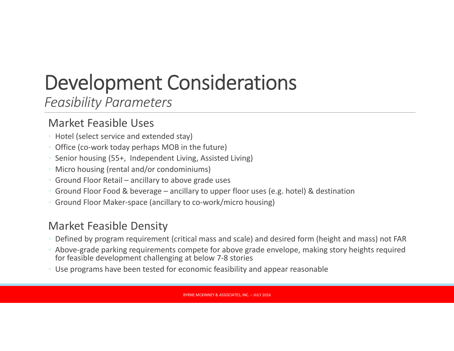*Feasibility Parameters*

### Market Feasible Uses

- Hotel (select service and extended stay)
- Office (co‐work today perhaps MOB in the future)
- Senior housing (55+, Independent Living, Assisted Living)
- Micro housing (rental and/or condominiums)
- Ground Floor Retail ancillary to above grade uses
- Ground Floor Food & beverage ancillary to upper floor uses (e.g. hotel) & destination
- Ground Floor Maker‐space (ancillary to co‐work/micro housing)

### Market Feasible Density

- Defined by program requirement (critical mass and scale) and desired form (height and mass) not FAR
- Above‐grade parking requirements compete for above grade envelope, making story heights required for feasible development challenging at below 7‐8 stories
- Use programs have been tested for economic feasibility and appear reasonable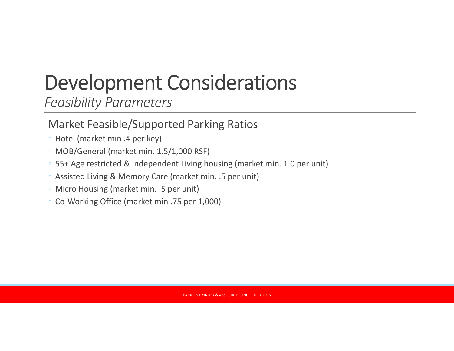*Feasibility Parameters*

### Market Feasible/Supported Parking Ratios

- Hotel (market min .4 per key)
- MOB/General (market min. 1.5/1,000 RSF)
- 55+ Age restricted & Independent Living housing (market min. 1.0 per unit)
- Assisted Living & Memory Care (market min. .5 per unit)
- Micro Housing (market min. .5 per unit)
- Co‐Working Office (market min .75 per 1,000)